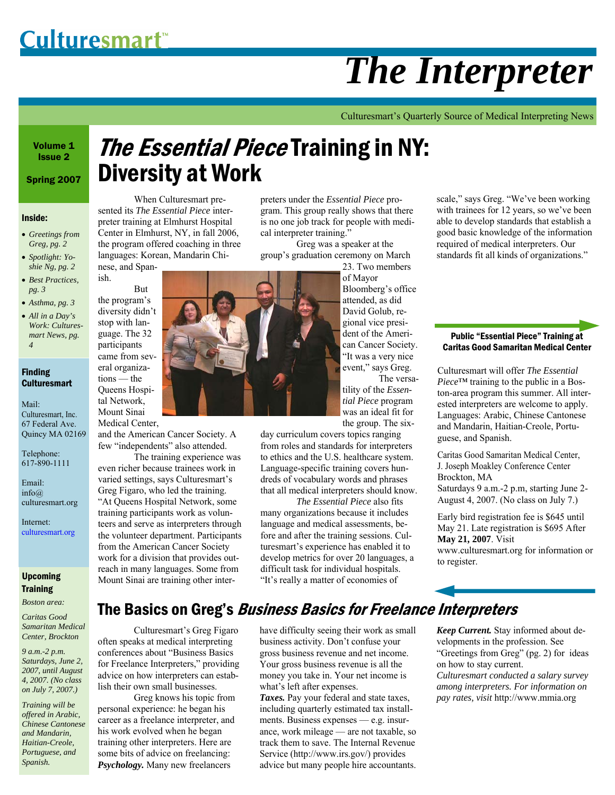# *The Interpreter*

Culturesmart's Quarterly Source of Medical Interpreting News

Volume 1 Issue 2

Spring 2007

#### Inside:

- *Greetings from Greg, pg. 2*
- *Spotlight: Yoshie Ng, pg. 2*
- *Best Practices, pg. 3*
- *Asthma, pg. 3*  • *All in a Day's Work: Culturesmart News, pg. 4*

#### Finding **Culturesmart**

Mail: Culturesmart, Inc. 67 Federal Ave. Quincy MA 02169

Telephone: 617-890-1111

Email: info@ culturesmart.org

Internet: culturesmart.org

### Upcoming **Training**

*Boston area:* 

*Caritas Good Samaritan Medical Center, Brockton* 

*9 a.m.-2 p.m. Saturdays, June 2, 2007, until August 4, 2007. (No class on July 7, 2007.)* 

*Training will be offered in Arabic, Chinese Cantonese and Mandarin, Haitian-Creole, Portuguese, and Spanish.* 

# **The Essential Piece Training in NY:** Diversity at Work

 When Culturesmart presented its *The Essential Piece* interpreter training at Elmhurst Hospital Center in Elmhurst, NY, in fall 2006, the program offered coaching in three languages: Korean, Mandarin Chi-

nese, and Spanish.

 But the program's diversity didn't stop with language. The 32 participants came from several organizations — the Queens Hospital Network,

Mount Sinai Medical Center,

and the American Cancer Society. A few "independents" also attended.

 The training experience was even richer because trainees work in varied settings, says Culturesmart's Greg Figaro, who led the training. "At Queens Hospital Network, some training participants work as volunteers and serve as interpreters through the volunteer department. Participants from the American Cancer Society work for a division that provides outreach in many languages. Some from Mount Sinai are training other interpreters under the *Essential Piece* program. This group really shows that there is no one job track for people with medical interpreter training."

 Greg was a speaker at the group's graduation ceremony on March 23. Two members

of Mayor Bloomberg's office attended, as did David Golub, regional vice president of the American Cancer Society. "It was a very nice event," says Greg.

 The versatility of the *Essential Piece* program was an ideal fit for the group. The six-

day curriculum covers topics ranging from roles and standards for interpreters to ethics and the U.S. healthcare system. Language-specific training covers hundreds of vocabulary words and phrases that all medical interpreters should know.

 *The Essential Piece* also fits many organizations because it includes language and medical assessments, before and after the training sessions. Culturesmart's experience has enabled it to develop metrics for over 20 languages, a difficult task for individual hospitals. "It's really a matter of economies of

scale," says Greg. "We've been working with trainees for 12 years, so we've been able to develop standards that establish a good basic knowledge of the information required of medical interpreters. Our standards fit all kinds of organizations."

#### Public "Essential Piece" Training at Caritas Good Samaritan Medical Center

Culturesmart will offer *The Essential Piece*™ training to the public in a Boston-area program this summer. All interested interpreters are welcome to apply. Languages: Arabic, Chinese Cantonese and Mandarin, Haitian-Creole, Portuguese, and Spanish.

Caritas Good Samaritan Medical Center, J. Joseph Moakley Conference Center Brockton, MA Saturdays 9 a.m.-2 p.m, starting June 2- August 4, 2007. (No class on July 7.)

Early bird registration fee is \$645 until May 21. Late registration is \$695 After **May 21, 2007**. Visit www.culturesmart.org for information or to register.

# The Basics on Greg's Business Basics for Freelance Interpreters

 Culturesmart's Greg Figaro often speaks at medical interpreting conferences about "Business Basics for Freelance Interpreters," providing advice on how interpreters can establish their own small businesses.

 Greg knows his topic from personal experience: he began his career as a freelance interpreter, and his work evolved when he began training other interpreters. Here are some bits of advice on freelancing: *Psychology.* Many new freelancers

have difficulty seeing their work as small business activity. Don't confuse your gross business revenue and net income. Your gross business revenue is all the money you take in. Your net income is what's left after expenses.

*Taxes.* Pay your federal and state taxes, including quarterly estimated tax installments. Business expenses — e.g. insurance, work mileage — are not taxable, so track them to save. The Internal Revenue Service (http://www.irs.gov/) provides advice but many people hire accountants.

*Keep Current.* Stay informed about developments in the profession. See "Greetings from Greg" (pg. 2) for ideas on how to stay current. *Culturesmart conducted a salary survey among interpreters. For information on pay rates, visit* http://www.mmia.org

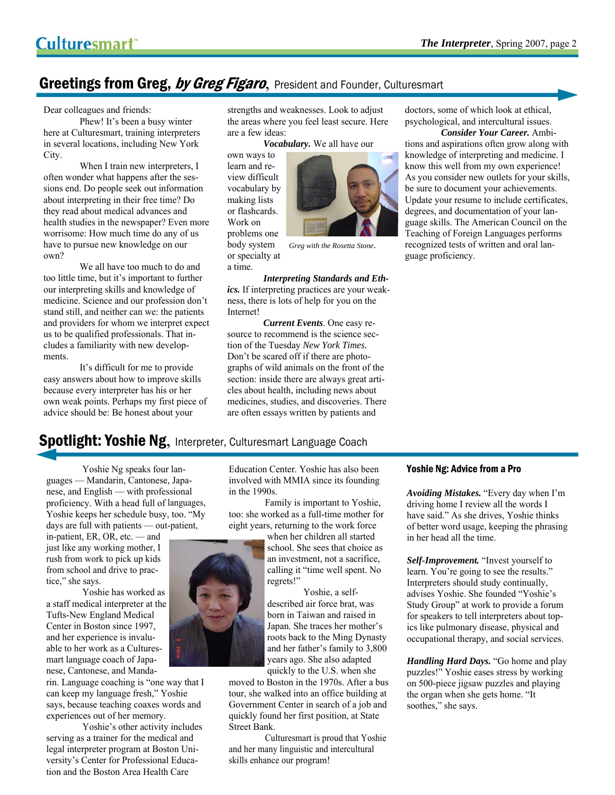# Greetings from Greg, by Greg Figaro, President and Founder, Culturesmart

Dear colleagues and friends:

 Phew! It's been a busy winter here at Culturesmart, training interpreters in several locations, including New York City.

 When I train new interpreters, I often wonder what happens after the sessions end. Do people seek out information about interpreting in their free time? Do they read about medical advances and health studies in the newspaper? Even more worrisome: How much time do any of us have to pursue new knowledge on our own?

 We all have too much to do and too little time, but it's important to further our interpreting skills and knowledge of medicine. Science and our profession don't stand still, and neither can we: the patients and providers for whom we interpret expect us to be qualified professionals. That includes a familiarity with new developments.

 It's difficult for me to provide easy answers about how to improve skills because every interpreter has his or her own weak points. Perhaps my first piece of advice should be: Be honest about your

strengths and weaknesses. Look to adjust the areas where you feel least secure. Here are a few ideas:

*Vocabulary.* We all have our

own ways to learn and review difficult vocabulary by making lists or flashcards. Work on problems one body system or specialty at a time.



*Greg with the Rosetta Stone*.

*Interpreting Standards and Ethics.* If interpreting practices are your weakness, there is lots of help for you on the Internet!

 *Current Events*. One easy resource to recommend is the science section of the Tuesday *New York Times.*  Don't be scared off if there are photographs of wild animals on the front of the section: inside there are always great articles about health, including news about medicines, studies, and discoveries. There are often essays written by patients and

doctors, some of which look at ethical, psychological, and intercultural issues.

*Consider Your Career.* Ambitions and aspirations often grow along with knowledge of interpreting and medicine. I know this well from my own experience! As you consider new outlets for your skills, be sure to document your achievements. Update your resume to include certificates, degrees, and documentation of your language skills. The American Council on the Teaching of Foreign Languages performs recognized tests of written and oral language proficiency.

# **Spotlight: Yoshie Ng, Interpreter, Culturesmart Language Coach**

 Yoshie Ng speaks four languages — Mandarin, Cantonese, Japanese, and English — with professional proficiency. With a head full of languages, Yoshie keeps her schedule busy, too. "My days are full with patients — out-patient,

in-patient, ER, OR, etc. — and just like any working mother, I rush from work to pick up kids from school and drive to practice," she says.

 Yoshie has worked as a staff medical interpreter at the Tufts-New England Medical Center in Boston since 1997, and her experience is invaluable to her work as a Culturesmart language coach of Japanese, Cantonese, and Manda-

rin. Language coaching is "one way that I can keep my language fresh," Yoshie says, because teaching coaxes words and experiences out of her memory.

 Yoshie's other activity includes serving as a trainer for the medical and legal interpreter program at Boston University's Center for Professional Education and the Boston Area Health Care

Education Center. Yoshie has also been involved with MMIA since its founding in the 1990s.

 Family is important to Yoshie, too: she worked as a full-time mother for eight years, returning to the work force

when her children all started school. She sees that choice as an investment, not a sacrifice, calling it "time well spent. No regrets!"

 Yoshie, a selfdescribed air force brat, was born in Taiwan and raised in Japan. She traces her mother's roots back to the Ming Dynasty and her father's family to 3,800 years ago. She also adapted quickly to the U.S. when she

moved to Boston in the 1970s. After a bus tour, she walked into an office building at Government Center in search of a job and quickly found her first position, at State Street Bank.

Culturesmart is proud that Yoshie and her many linguistic and intercultural skills enhance our program!

#### Yoshie Ng: Advice from a Pro

*Avoiding Mistakes.* "Every day when I'm driving home I review all the words I have said." As she drives, Yoshie thinks of better word usage, keeping the phrasing in her head all the time.

*Self-Improvement.* "Invest yourself to learn. You're going to see the results." Interpreters should study continually, advises Yoshie. She founded "Yoshie's Study Group" at work to provide a forum for speakers to tell interpreters about topics like pulmonary disease, physical and occupational therapy, and social services.

*Handling Hard Days.* "Go home and play puzzles!" Yoshie eases stress by working on 500-piece jigsaw puzzles and playing the organ when she gets home. "It soothes," she says.

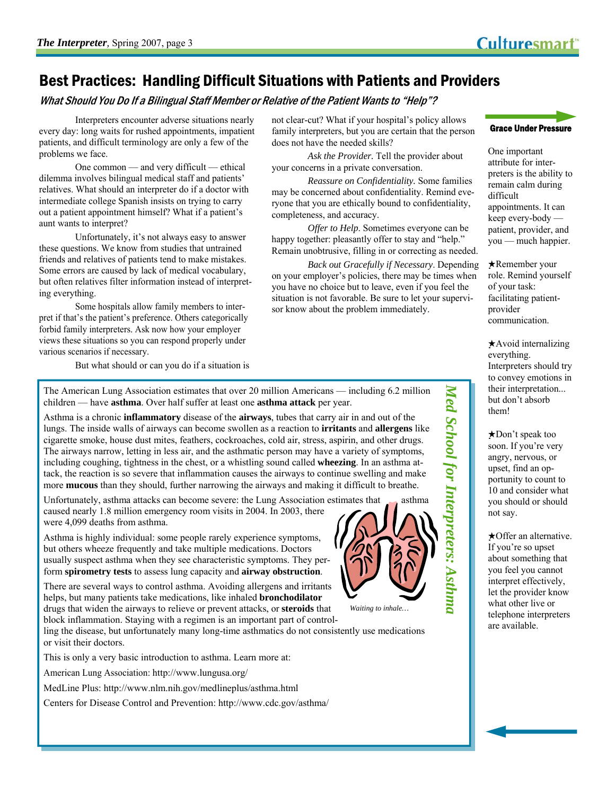# Best Practices: Handling Difficult Situations with Patients and Providers

What Should You Do If a Bilingual Staff Member or Relative of the Patient Wants to "Help"?

 Interpreters encounter adverse situations nearly every day: long waits for rushed appointments, impatient patients, and difficult terminology are only a few of the problems we face.

 One common — and very difficult — ethical dilemma involves bilingual medical staff and patients' relatives. What should an interpreter do if a doctor with intermediate college Spanish insists on trying to carry out a patient appointment himself? What if a patient's aunt wants to interpret?

 Unfortunately, it's not always easy to answer these questions. We know from studies that untrained friends and relatives of patients tend to make mistakes. Some errors are caused by lack of medical vocabulary, but often relatives filter information instead of interpreting everything.

 Some hospitals allow family members to interpret if that's the patient's preference. Others categorically forbid family interpreters. Ask now how your employer views these situations so you can respond properly under various scenarios if necessary.

But what should or can you do if a situation is

not clear-cut? What if your hospital's policy allows family interpreters, but you are certain that the person does not have the needed skills?

*Ask the Provider.* Tell the provider about your concerns in a private conversation.

*Reassure on Confidentiality.* Some families may be concerned about confidentiality. Remind everyone that you are ethically bound to confidentiality, completeness, and accuracy.

*Offer to Help*. Sometimes everyone can be happy together: pleasantly offer to stay and "help." Remain unobtrusive, filling in or correcting as needed.

*Back out Gracefully if Necessary*. Depending on your employer's policies, there may be times when you have no choice but to leave, even if you feel the situation is not favorable. Be sure to let your supervisor know about the problem immediately.

The American Lung Association estimates that over 20 million Americans — including 6.2 million children — have **asthma**. Over half suffer at least one **asthma attack** per year.

Asthma is a chronic **inflammatory** disease of the **airways**, tubes that carry air in and out of the lungs. The inside walls of airways can become swollen as a reaction to **irritants** and **allergens** like cigarette smoke, house dust mites, feathers, cockroaches, cold air, stress, aspirin, and other drugs. The airways narrow, letting in less air, and the asthmatic person may have a variety of symptoms, including coughing, tightness in the chest, or a whistling sound called **wheezing**. In an asthma attack, the reaction is so severe that inflammation causes the airways to continue swelling and make more **mucous** than they should, further narrowing the airways and making it difficult to breathe.

Unfortunately, asthma attacks can become severe: the Lung Association estimates that  $\Box$  asthma caused nearly 1.8 million emergency room visits in 2004. In 2003, there were 4,099 deaths from asthma.

Asthma is highly individual: some people rarely experience symptoms, but others wheeze frequently and take multiple medications. Doctors usually suspect asthma when they see characteristic symptoms. They perform **spirometry tests** to assess lung capacity and **airway obstruction**.

There are several ways to control asthma. Avoiding allergens and irritants helps, but many patients take medications, like inhaled **bronchodilator**  drugs that widen the airways to relieve or prevent attacks, or **steroids** that block inflammation. Staying with a regimen is an important part of control-

ling the disease, but unfortunately many long-time asthmatics do not consistently use medications or visit their doctors.

This is only a very basic introduction to asthma. Learn more at:

American Lung Association: http://www.lungusa.org/

MedLine Plus: http://www.nlm.nih.gov/medlineplus/asthma.html

Centers for Disease Control and Prevention: http://www.cdc.gov/asthma/



*Med School for Interpreters: Asthma* 

Med School for Interpreters: Asthma

*Waiting to inhale…* 



One important attribute for interpreters is the ability to remain calm during difficult appointments. It can keep every-body patient, provider, and you — much happier.

★Remember your role. Remind yourself of your task: facilitating patientprovider communication.

★Avoid internalizing everything. Interpreters should try to convey emotions in their interpretation... but don't absorb them!

★Don't speak too soon. If you're very angry, nervous, or upset, find an opportunity to count to 10 and consider what you should or should not say.

★Offer an alternative. If you're so upset about something that you feel you cannot interpret effectively, let the provider know what other live or telephone interpreters are available.